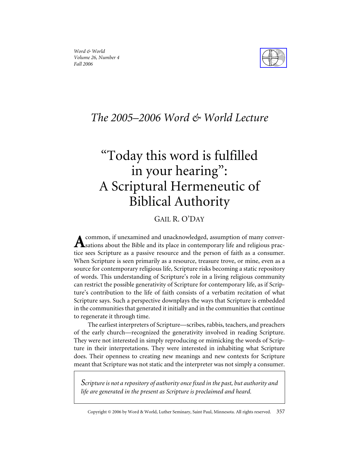

# *The 2005–2006 Word & World Lecture*

# "Today this word is fulfilled in your hearing": A Scriptural Hermeneutic of Biblical Authority

## GAIL R. O'DAY

common, if unexamined and unacknowledged, assumption of many conver-Assations about the Bible and its place in contemporary life and religious practice sees Scripture as a passive resource and the person of faith as a consumer. When Scripture is seen primarily as a resource, treasure trove, or mine, even as a source for contemporary religious life, Scripture risks becoming a static repository of words. This understanding of Scripture's role in a living religious community can restrict the possible generativity of Scripture for contemporary life, as if Scripture's contribution to the life of faith consists of a verbatim recitation of what Scripture says. Such a perspective downplays the ways that Scripture is embedded in the communities that generated it initially and in the communities that continue to regenerate it through time.

The earliest interpreters of Scripture—scribes, rabbis, teachers, and preachers of the early church—recognized the generativity involved in reading Scripture. They were not interested in simply reproducing or mimicking the words of Scripture in their interpretations. They were interested in inhabiting what Scripture does. Their openness to creating new meanings and new contexts for Scripture meant that Scripture was not static and the interpreter was not simply a consumer.

*Scripture is not a repository of authority once fixed in the past, but authority and life are generated in the present as Scripture is proclaimed and heard.*

Copyright © 2006 by Word & World, Luther Seminary, Saint Paul, Minnesota. All rights reserved. 357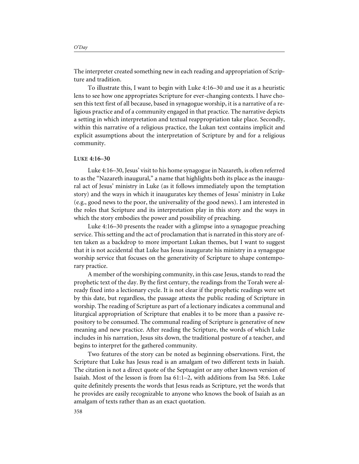The interpreter created something new in each reading and appropriation of Scripture and tradition.

To illustrate this, I want to begin with Luke 4:16–30 and use it as a heuristic lens to see how one appropriates Scripture for ever-changing contexts. I have chosen this text first of all because, based in synagogue worship, it is a narrative of a religious practice and of a community engaged in that practice. The narrative depicts a setting in which interpretation and textual reappropriation take place. Secondly, within this narrative of a religious practice, the Lukan text contains implicit and explicit assumptions about the interpretation of Scripture by and for a religious community.

#### **LUKE 4:16–30**

Luke 4:16–30, Jesus' visit to his home synagogue in Nazareth, is often referred to as the "Nazareth inaugural," a name that highlights both its place as the inaugural act of Jesus' ministry in Luke (as it follows immediately upon the temptation story) and the ways in which it inaugurates key themes of Jesus' ministry in Luke (e.g., good news to the poor, the universality of the good news). I am interested in the roles that Scripture and its interpretation play in this story and the ways in which the story embodies the power and possibility of preaching.

Luke 4:16–30 presents the reader with a glimpse into a synagogue preaching service. This setting and the act of proclamation that is narrated in this story are often taken as a backdrop to more important Lukan themes, but I want to suggest that it is not accidental that Luke has Jesus inaugurate his ministry in a synagogue worship service that focuses on the generativity of Scripture to shape contemporary practice.

A member of the worshiping community, in this case Jesus, stands to read the prophetic text of the day. By the first century, the readings from the Torah were already fixed into a lectionary cycle. It is not clear if the prophetic readings were set by this date, but regardless, the passage attests the public reading of Scripture in worship. The reading of Scripture as part of a lectionary indicates a communal and liturgical appropriation of Scripture that enables it to be more than a passive repository to be consumed. The communal reading of Scripture is generative of new meaning and new practice. After reading the Scripture, the words of which Luke includes in his narration, Jesus sits down, the traditional posture of a teacher, and begins to interpret for the gathered community.

Two features of the story can be noted as beginning observations. First, the Scripture that Luke has Jesus read is an amalgam of two different texts in Isaiah. The citation is not a direct quote of the Septuagint or any other known version of Isaiah. Most of the lesson is from Isa 61:1–2, with additions from Isa 58:6. Luke quite definitely presents the words that Jesus reads as Scripture, yet the words that he provides are easily recognizable to anyone who knows the book of Isaiah as an amalgam of texts rather than as an exact quotation.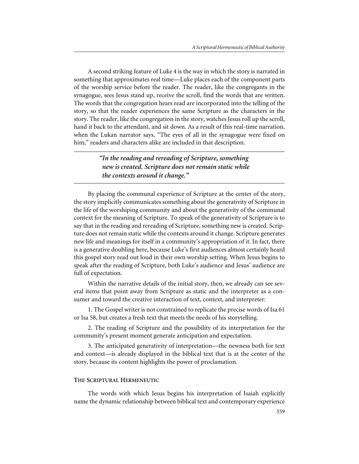A second striking feature of Luke 4 is the way in which the story is narrated in something that approximates real time—Luke places each of the component parts of the worship service before the reader. The reader, like the congregants in the synagogue, sees Jesus stand up, receive the scroll, find the words that are written. The words that the congregation hears read are incorporated into the telling of the story, so that the reader experiences the same Scripture as the characters in the story. The reader, like the congregation in the story, watches Jesus roll up the scroll, hand it back to the attendant, and sit down. As a result of this real-time narration, when the Lukan narrator says, "The eyes of all in the synagogue were fixed on him," readers and characters alike are included in that description.

### *"In the reading and rereading of Scripture, something new is created. Scripture does not remain static while the contexts around it change."*

By placing the communal experience of Scripture at the center of the story, the story implicitly communicates something about the generativity of Scripture in the life of the worshiping community and about the generativity of the communal context for the meaning of Scripture. To speak of the generativity of Scripture is to say that in the reading and rereading of Scripture, something new is created. Scripture does not remain static while the contexts around it change. Scripture generates new life and meanings for itself in a community's appropriation of it. In fact, there is a generative doubling here, because Luke's first audiences almost certainly heard this gospel story read out loud in their own worship setting. When Jesus begins to speak after the reading of Scripture, both Luke's audience and Jesus' audience are full of expectation.

Within the narrative details of the initial story, then, we already can see several items that point away from Scripture as static and the interpreter as a consumer and toward the creative interaction of text, context, and interpreter:

1. The Gospel writer is not constrained to replicate the precise words of Isa 61 or Isa 58, but creates a fresh text that meets the needs of his storytelling.

2. The reading of Scripture and the possibility of its interpretation for the community's present moment generate anticipation and expectation.

3. The anticipated generativity of interpretation—the newness both for text and context—is already displayed in the biblical text that is at the center of the story, because its content highlights the power of proclamation.

#### **THE SCRIPTURAL HERMENEUTIC**

The words with which Jesus begins his interpretation of Isaiah explicitly name the dynamic relationship between biblical text and contemporary experience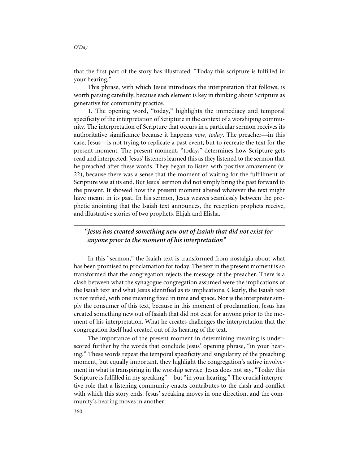This phrase, with which Jesus introduces the interpretation that follows, is worth parsing carefully, because each element is key in thinking about Scripture as generative for community practice.

1. The opening word, "today," highlights the immediacy and temporal specificity of the interpretation of Scripture in the context of a worshiping community. The interpretation of Scripture that occurs in a particular sermon receives its authoritative significance because it happens *now*, *today*. The preacher—in this case, Jesus—is not trying to replicate a past event, but to recreate the text for the present moment. The present moment, "today," determines how Scripture gets read and interpreted. Jesus' listeners learned this as they listened to the sermon that he preached after these words. They began to listen with positive amazement (v. 22), because there was a sense that the moment of waiting for the fulfillment of Scripture was at its end. But Jesus' sermon did not simply bring the past forward to the present. It showed how the present moment altered whatever the text might have meant in its past. In his sermon, Jesus weaves seamlessly between the prophetic anointing that the Isaiah text announces, the reception prophets receive, and illustrative stories of two prophets, Elijah and Elisha.

*"Jesus has created something new out of Isaiah that did not exist for anyone prior to the moment of his interpretation"*

In this "sermon," the Isaiah text is transformed from nostalgia about what has been promised to proclamation for today. The text in the present moment is so transformed that the congregation rejects the message of the preacher. There is a clash between what the synagogue congregation assumed were the implications of the Isaiah text and what Jesus identified as its implications. Clearly, the Isaiah text is not reified, with one meaning fixed in time and space. Nor is the interpreter simply the consumer of this text, because in this moment of proclamation, Jesus has created something new out of Isaiah that did not exist for anyone prior to the moment of his interpretation. What he creates challenges the interpretation that the congregation itself had created out of its hearing of the text.

The importance of the present moment in determining meaning is underscored further by the words that conclude Jesus' opening phrase, "in your hearing." These words repeat the temporal specificity and singularity of the preaching moment, but equally important, they highlight the congregation's active involvement in what is transpiring in the worship service. Jesus does not say, "Today this Scripture is fulfilled in my speaking"—but "in your hearing." The crucial interpretive role that a listening community enacts contributes to the clash and conflict with which this story ends. Jesus' speaking moves in one direction, and the community's hearing moves in another.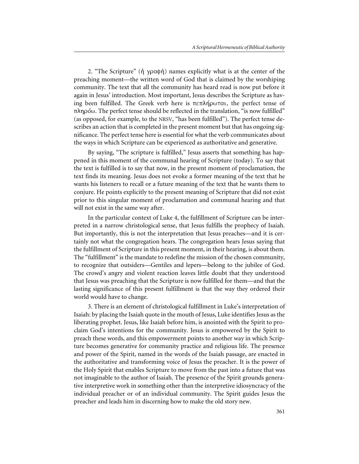2. "The Scripture" ( $\dot{\eta}$   $\gamma \rho \alpha \phi \dot{\eta}$ ) names explicitly what is at the center of the preaching moment—the written word of God that is claimed by the worshiping community. The text that all the community has heard read is now put before it again in Jesus' introduction. Most important, Jesus describes the Scripture as having been fulfilled. The Greek verb here is  $\pi \epsilon \pi \lambda \eta \rho \omega \tau \alpha$ , the perfect tense of  $\pi \lambda \eta \rho \omega$ . The perfect tense should be reflected in the translation, "is now fulfilled" (as opposed, for example, to the NRSV, "has been fulfilled"). The perfect tense describes an action that is completed in the present moment but that has ongoing significance. The perfect tense here is essential for what the verb communicates about the ways in which Scripture can be experienced as authoritative and generative.

By saying, "The scripture is fulfilled," Jesus asserts that something has happened in this moment of the communal hearing of Scripture (today). To say that the text is fulfilled is to say that now, in the present moment of proclamation, the text finds its meaning. Jesus does not evoke a former meaning of the text that he wants his listeners to recall or a future meaning of the text that he wants them to conjure. He points explicitly to the present meaning of Scripture that did not exist prior to this singular moment of proclamation and communal hearing and that will not exist in the same way after.

In the particular context of Luke 4, the fulfillment of Scripture can be interpreted in a narrow christological sense, that Jesus fulfills the prophecy of Isaiah. But importantly, this is not the interpretation that Jesus preaches—and it is certainly not what the congregation hears. The congregation hears Jesus saying that the fulfillment of Scripture in this present moment, in their hearing, is about them. The "fulfillment" is the mandate to redefine the mission of the chosen community, to recognize that outsiders—Gentiles and lepers—belong to the jubilee of God. The crowd's angry and violent reaction leaves little doubt that they understood that Jesus was preaching that the Scripture is now fulfilled for them—and that the lasting significance of this present fulfillment is that the way they ordered their world would have to change.

3. There is an element of christological fulfillment in Luke's interpretation of Isaiah: by placing the Isaiah quote in the mouth of Jesus, Luke identifies Jesus as the liberating prophet. Jesus, like Isaiah before him, is anointed with the Spirit to proclaim God's intentions for the community. Jesus is empowered by the Spirit to preach these words, and this empowerment points to another way in which Scripture becomes generative for community practice and religious life. The presence and power of the Spirit, named in the words of the Isaiah passage, are enacted in the authoritative and transforming voice of Jesus the preacher. It is the power of the Holy Spirit that enables Scripture to move from the past into a future that was not imaginable to the author of Isaiah. The presence of the Spirit grounds generative interpretive work in something other than the interpretive idiosyncracy of the individual preacher or of an individual community. The Spirit guides Jesus the preacher and leads him in discerning how to make the old story new.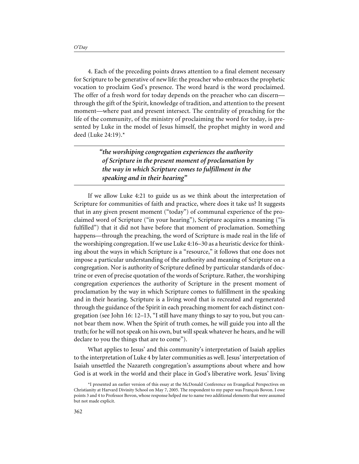4. Each of the preceding points draws attention to a final element necessary for Scripture to be generative of new life: the preacher who embraces the prophetic vocation to proclaim God's presence. The word heard is the word proclaimed. The offer of a fresh word for today depends on the preacher who can discern through the gift of the Spirit, knowledge of tradition, and attention to the present moment—where past and present intersect. The centrality of preaching for the life of the community, of the ministry of proclaiming the word for today, is presented by Luke in the model of Jesus himself, the prophet mighty in word and deed (Luke 24:19).\*

> *"the worshiping congregation experiences the authority of Scripture in the present moment of proclamation by the way in which Scripture comes to fulfillment in the speaking and in their hearing"*

If we allow Luke 4:21 to guide us as we think about the interpretation of Scripture for communities of faith and practice, where does it take us? It suggests that in any given present moment ("today") of communal experience of the proclaimed word of Scripture ("in your hearing"), Scripture acquires a meaning ("is fulfilled") that it did not have before that moment of proclamation. Something happens—through the preaching, the word of Scripture is made real in the life of the worshiping congregation. If we use Luke 4:16–30 as a heuristic device for thinking about the ways in which Scripture is a "resource," it follows that one does not impose a particular understanding of the authority and meaning of Scripture on a congregation. Nor is authority of Scripture defined by particular standards of doctrine or even of precise quotation of the words of Scripture. Rather, the worshiping congregation experiences the authority of Scripture in the present moment of proclamation by the way in which Scripture comes to fulfillment in the speaking and in their hearing. Scripture is a living word that is recreated and regenerated through the guidance of the Spirit in each preaching moment for each distinct congregation (see John 16: 12–13, "I still have many things to say to you, but you cannot bear them now. When the Spirit of truth comes, he will guide you into all the truth; for he will not speak on his own, but will speak whatever he hears, and he will declare to you the things that are to come").

What applies to Jesus' and this community's interpretation of Isaiah applies to the interpretation of Luke 4 by later communities as well. Jesus' interpretation of Isaiah unsettled the Nazareth congregation's assumptions about where and how God is at work in the world and their place in God's liberative work. Jesus' living

<sup>\*</sup>I presented an earlier version of this essay at the McDonald Conference on Evangelical Perspectives on Christianity at Harvard Divinity School on May 7, 2005. The respondent to my paper was François Bovon. I owe points 3 and 4 to Professor Bovon, whose response helped me to name two additional elements that were assumed but not made explicit.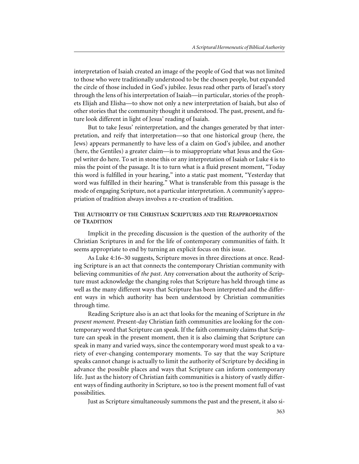interpretation of Isaiah created an image of the people of God that was not limited to those who were traditionally understood to be the chosen people, but expanded the circle of those included in God's jubilee. Jesus read other parts of Israel's story through the lens of his interpretation of Isaiah—in particular, stories of the prophets Elijah and Elisha—to show not only a new interpretation of Isaiah, but also of other stories that the community thought it understood. The past, present, and future look different in light of Jesus' reading of Isaiah.

But to take Jesus' reinterpretation, and the changes generated by that interpretation, and reify that interpretation—so that one historical group (here, the Jews) appears permanently to have less of a claim on God's jubilee, and another (here, the Gentiles) a greater claim—is to misappropriate what Jesus and the Gospel writer do here. To set in stone this or any interpretation of Isaiah or Luke 4 is to miss the point of the passage. It is to turn what is a fluid present moment, "Today this word is fulfilled in your hearing," into a static past moment, "Yesterday that word was fulfilled in their hearing." What is transferable from this passage is the mode of engaging Scripture, not a particular interpretation. A community's appropriation of tradition always involves a re-creation of tradition.

#### **THE AUTHORITY OF THE CHRISTIAN SCRIPTURES AND THE REAPPROPRIATION OF TRADITION**

Implicit in the preceding discussion is the question of the authority of the Christian Scriptures in and for the life of contemporary communities of faith. It seems appropriate to end by turning an explicit focus on this issue.

As Luke 4:16–30 suggests, Scripture moves in three directions at once. Reading Scripture is an act that connects the contemporary Christian community with believing communities of *the past*. Any conversation about the authority of Scripture must acknowledge the changing roles that Scripture has held through time as well as the many different ways that Scripture has been interpreted and the different ways in which authority has been understood by Christian communities through time.

Reading Scripture also is an act that looks for the meaning of Scripture in *the present moment*. Present-day Christian faith communities are looking for the contemporary word that Scripture can speak. If the faith community claims that Scripture can speak in the present moment, then it is also claiming that Scripture can speak in many and varied ways, since the contemporary word must speak to a variety of ever-changing contemporary moments. To say that the way Scripture speaks cannot change is actually to limit the authority of Scripture by deciding in advance the possible places and ways that Scripture can inform contemporary life. Just as the history of Christian faith communities is a history of vastly different ways of finding authority in Scripture, so too is the present moment full of vast possibilities.

Just as Scripture simultaneously summons the past and the present, it also si-